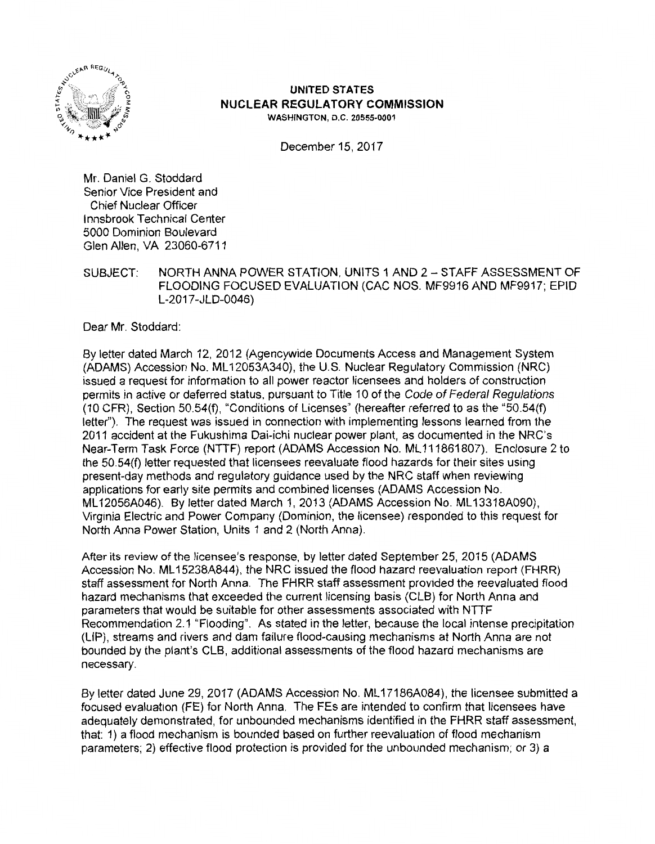

# **UNITED STATES NUCLEAR REGULATORY COMMISSION WASHINGTON, D.C. 20555-0001**

December 15, 2017

Mr. Daniel G. Stoddard Senior Vice President and Chief Nuclear Officer Innsbrook Technical Center 5000 Dominion Boulevard Glen Allen, VA 23060-6711

SUBJECT: NORTH ANNA POWER STATION, UNITS 1 AND 2-STAFF ASSESSMENT OF FLOODING FOCUSED EVALUATION (CAC NOS. MF9916 AND MF9917; EPID L-2017-JLD-0046)

Dear Mr. Stoddard:

By letter dated March 12, 2012 (Agencywide Documents Access and Management System (ADAMS) Accession No. ML 12053A340), the U.S. Nuclear Regulatory Commission (NRC) issued a request for information to all power reactor licensees and holders of construction permits in active or deferred status, pursuant to Title 10 of the Code of Federal Regulations (10 CFR), Section 50.54(f), "Conditions of Licenses" (hereafter referred to as the "50.54(f) letter"). The request was issued in connection with implementing lessons learned from the 2011 accident at the Fukushima Dai-ichi nuclear power plant, as documented in the NRC's Near-Term Task Force (NTTF) report (ADAMS Accession No. ML 111861807). Enclosure 2 to the 50.54(f) letter requested that licensees reevaluate flood hazards for their sites using present-day methods and regulatory guidance used by the NRC staff when reviewing applications for early site permits and combined licenses (ADAMS Accession No. ML 12056A046). By letter dated March 1, 2013 (ADAMS Accession No. ML 13318A090), Virginia Electric and Power Company (Dominion, the licensee) responded to this request for North Anna Power Station, Units 1 and 2 (North Anna).

After its review of the licensee's response, by letter dated September 25, 2015 (ADAMS Accession No. ML 15238A844), the NRC issued the flood hazard reevaluation report (FHRR) staff assessment for North Anna. The FHRR staff assessment provided the reevaluated flood hazard mechanisms that exceeded the current licensing basis (CLB) for North Anna and parameters that would be suitable for other assessments associated with NTTF Recommendation 2.1 "Flooding". As stated in the letter, because the local intense precipitation (LIP), streams and rivers and dam failure flood-causing mechanisms at North Anna are not bounded by the plant's CLB, additional assessments of the flood hazard mechanisms are necessary.

By letter dated June 29, 2017 (ADAMS Accession No. ML17186A084), the licensee submitted a focused evaluation (FE) for North Anna. The FEs are intended to confirm that licensees have adequately demonstrated, for unbounded mechanisms identified in the FHRR staff assessment, that: 1) a flood mechanism is bounded based on further reevaluation of flood mechanism parameters; 2) effective flood protection is provided for the unbounded mechanism; or 3) a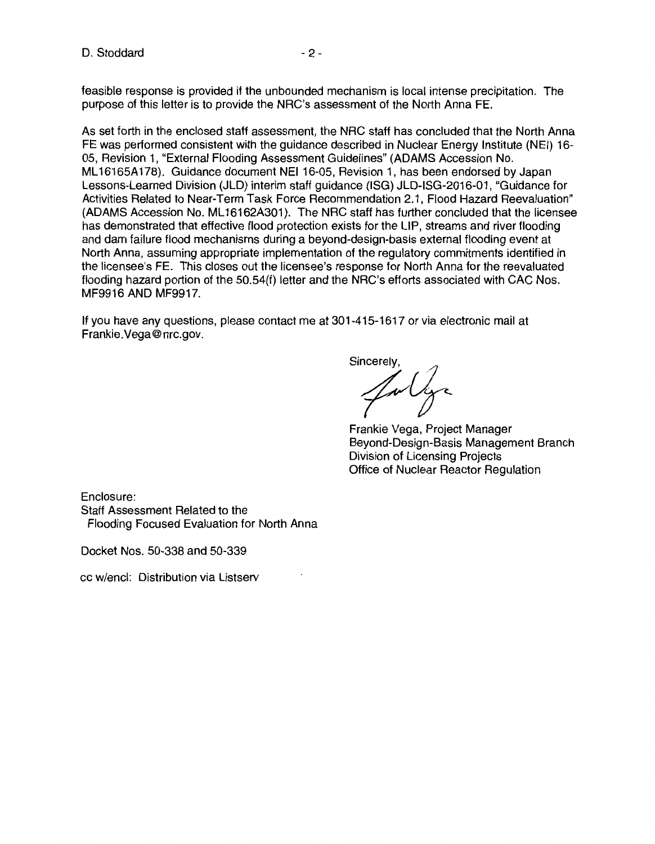feasible response is provided if the unbounded mechanism is local intense precipitation. The purpose of this letter is to provide the NRG's assessment of the North Anna FE.

As set forth in the enclosed staff assessment, the NRG staff has concluded that the North Anna FE was performed consistent with the guidance described in Nuclear Energy Institute (NEI) 16-05, Revision 1, "External Flooding Assessment Guidelines" (ADAMS Accession No. ML 16165A 178). Guidance document NEI 16-05, Revision 1, has been endorsed by Japan Lessons-Learned Division (JLD) interim staff guidance (ISG) JLD-ISG-2016-01, "Guidance for Activities Related to Near-Term Task Force Recommendation 2.1, Flood Hazard Reevaluation" (ADAMS Accession No. ML16162A301). The NRC staff has further concluded that the licensee has demonstrated that effective flood protection exists for the LIP, streams and river flooding and dam failure flood mechanisms during a beyond-design-basis external flooding event at North Anna, assuming appropriate implementation of the regulatory commitments identified in the licensee's FE. This closes out the licensee's response for North Anna for the reevaluated flooding hazard portion of the 50.54(f) letter and the NRG's efforts associated with GAG Nos. MF9916 AND MF9917.

If you have any questions, please contact me at 301-415-1617 or via electronic mail at Frankie.Vega@nrc.gov.

Sincerely,<br> $\mathcal{L}_{\mathcal{V}}$ 

Frankie Vega, Project Manager Beyond-Design-Basis Management Branch Division of Licensing Projects Office of Nuclear Reactor Regulation

Enclosure: Staff Assessment Related to the Flooding Focused Evaluation for North Anna

Docket Nos. 50-338 and 50-339

cc w/encl: Distribution via Listserv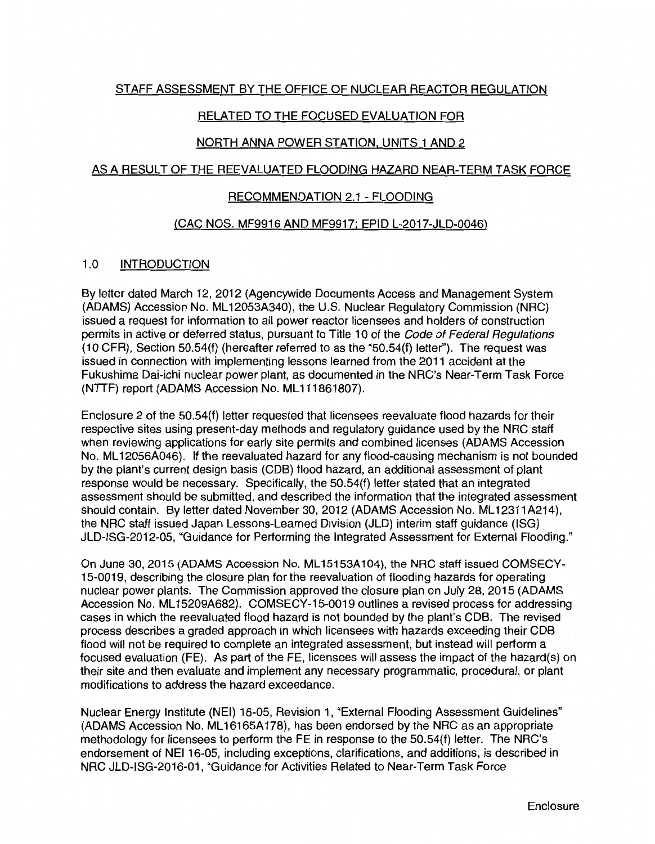# STAFF ASSESSMENT BY THE OFFICE OF NUCLEAR REACTOR REGULATION

# RELATED TO THE FOCUSED EVALUATION FOR

## NORTH ANNA POWER STATION, UNITS 1 AND 2

#### AS A RESULT OF THE REEVALUATED FLOODING HAZARD NEAR-TERM TASK FORCE

#### RECOMMENDATION 2.1 - FLOODING

#### (CAC NOS. MF9916 AND MF9917: EPID L-2017-JLD-0046)

## 1.0 INTRODUCTION

By letter dated March 12, 2012 (Agencywide Documents Access and Management System (ADAMS) Accession No. ML 12053A340), the U.S. Nuclear Regulatory Commission (NRG) issued a request for information to all power reactor licensees and holders of construction permits in active or deferred status, pursuant to Title 10 of the Code of Federal Regulations  $(10 \text{ CFR})$ , Section 50.54 $(f)$  (hereafter referred to as the "50.54 $(f)$  letter"). The request was issued in connection with implementing lessons learned from the 2011 accident at the Fukushima Dai-ichi nuclear power plant, as documented in the NRC's Near-Term Task Force (NTTF) report (ADAMS Accession No. ML111861807).

Enclosure 2 of the 50.54(f) letter requested that licensees reevaluate flood hazards for their respective sites using present-day methods and regulatory guidance used by the NRG staff when reviewing applications for early site permits and combined licenses (ADAMS Accession No. ML 12056A046). If the reevaluated hazard for any flood-causing mechanism is not bounded by the plant's current design basis (COB) flood hazard, an additional assessment of plant response would be necessary. Specifically, the 50.54(f) letter stated that an integrated assessment should be submitted, and described the information that the integrated assessment should contain. By letter dated November 30, 2012 (ADAMS Accession No. ML12311A214), the NRG staff issued Japan Lessons-Learned Division (JLD) interim staff guidance (ISG) JLD-ISG-2012-05, "Guidance for Performing the Integrated Assessment for External Flooding."

On June 30, 2015 (ADAMS Accession No. ML15153A104), the NRC staff issued COMSECY-15-0019, describing the closure plan for the reevaluation of flooding hazards for operating nuclear power plants. The Commission approved the closure plan on July 28, 2015 (ADAMS Accession No. ML 15209A682). COMSECY-15-0019 outlines a revised process for addressing cases in which the reevaluated flood hazard is not bounded by the plant's COB. The revised process describes a graded approach in which licensees with hazards exceeding their COB flood will not be required to complete an integrated assessment, but instead will perform a focused evaluation (FE). As part of the FE, licensees will assess the impact of the hazard(s) on their site and then evaluate and implement any necessary programmatic, procedural, or plant modifications to address the hazard exceedance.

Nuclear Energy Institute (NEI) 16-05, Revision 1, "External Flooding Assessment Guidelines" (ADAMS Accession No. ML 16165A 178), has been endorsed by the NRG as an appropriate methodology for licensees to perform the FE in response to the 50.54(f) letter. The NRC's endorsement of NEI 16-05, including exceptions, clarifications, and additions, is described in NRG JLD-ISG-2016-01, "Guidance for Activities Related to Near-Term Task Force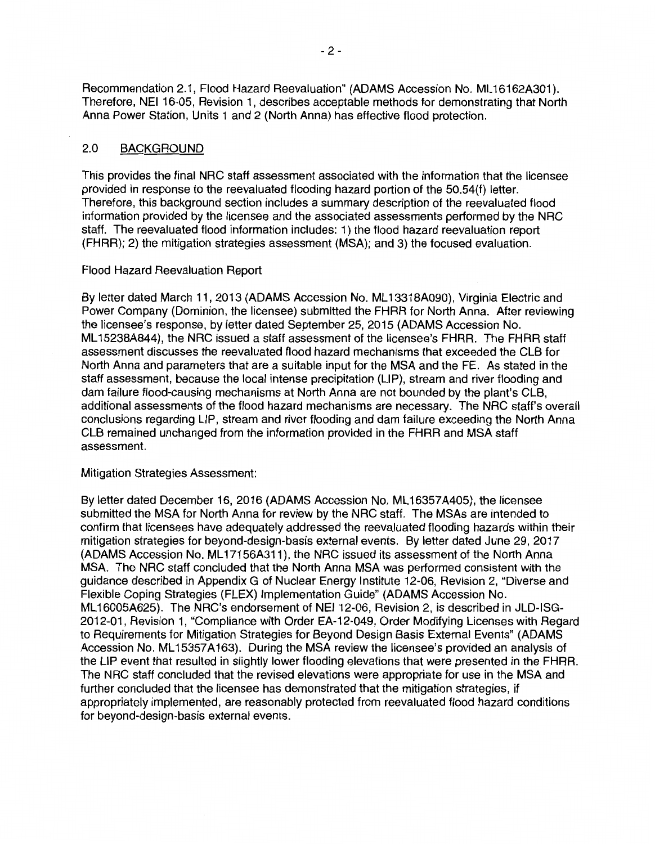Recommendation 2.1, Flood Hazard Reevaluation" (ADAMS Accession No. ML16162A301). Therefore, NEI 16-05, Revision 1, describes acceptable methods for demonstrating that North Anna Power Station, Units 1 and 2 (North Anna) has effective flood protection.

## 2.0 BACKGROUND

This provides the final NRG staff assessment associated with the information that the licensee provided in response to the reevaluated flooding hazard portion of the 50.54(f) letter. Therefore, this background section includes a summary description of the reevaluated flood information provided by the licensee and the associated assessments performed by the NRG staff. The reevaluated flood information includes: 1) the flood hazard reevaluation report (FHRR); 2) the mitigation strategies assessment (MSA); and 3) the focused evaluation.

## Flood Hazard Reevaluation Report

By letter dated March 11, 2013 (ADAMS Accession No. ML 13318A090}, Virginia Electric and Power Company (Dominion, the licensee) submitted the FHRR for North Anna. After reviewing the licensee's response, by letter dated September 25, 2015 (ADAMS Accession No. ML 15238A844), the NRG issued a staff assessment of the licensee's FHRR. The FHRR staff assessment discusses the reevaluated flood hazard mechanisms that exceeded the CLB for North Anna and parameters that are a suitable input for the MSA and the FE. As stated in the staff assessment, because the local intense precipitation (LIP}, stream and river flooding and dam failure flood-causing mechanisms at North Anna are not bounded by the plant's CLB, additional assessments of the flood hazard mechanisms are necessary. The NRG staff's overall conclusions regarding LIP, stream and river flooding and dam failure exceeding the North Anna CLB remained unchanged from the information provided in the FHRR and MSA staff assessment.

## Mitigation Strategies Assessment:

By letter dated December 16, 2016 (ADAMS Accession No. ML16357A405), the licensee submitted the MSA for North Anna for review by the NRG staff. The MSAs are intended to confirm that licensees have adequately addressed the reevaluated flooding hazards within their mitigation strategies for beyond-design-basis external events. By letter dated June 29, 2017 (ADAMS Accession No. ML 17156A311 }, the NRG issued its assessment of the North Anna MSA. The NRG staff concluded that the North Anna MSA was performed consistent with the guidance described in Appendix G of Nuclear Energy Institute 12-06, Revision 2, "Diverse and Flexible Coping Strategies (FLEX) Implementation Guide" (ADAMS Accession No. ML16005A625). The NRC's endorsement of NEI 12-06, Revision 2, is described in JLD-ISG-2012-01, Revision 1, "Compliance with Order EA-12-049, Order Modifying Licenses with Regard to Requirements for Mitigation Strategies for Beyond Design Basis External Events" (ADAMS Accession No. ML15357A163). During the MSA review the licensee's provided an analysis of the LIP event that resulted in slightly lower flooding elevations that were presented in the FHRR. The NRG staff concluded that the revised elevations were appropriate for use in the MSA and further concluded that the licensee has demonstrated that the mitigation strategies, if appropriately implemented, are reasonably protected from reevaluated flood hazard conditions for beyond-design-basis external events.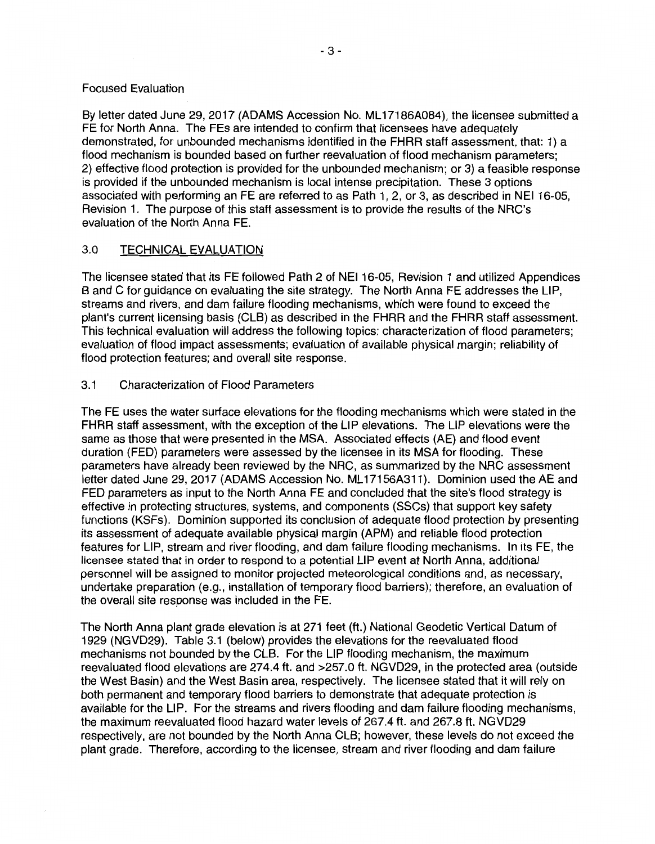## Focused Evaluation

By letter dated June 29, 2017 (ADAMS Accession No. ML17186A084), the licensee submitted a FE for North Anna. The FEs are intended to confirm that licensees have adequately demonstrated, for unbounded mechanisms identified in the FHRR staff assessment, that: 1) a flood mechanism is bounded based on further reevaluation of flood mechanism parameters; 2) effective flood protection is provided for the unbounded mechanism; or 3) a feasible response is provided if the unbounded mechanism is local intense precipitation. These 3 options associated with performing an FE are referred to as Path 1, 2, or 3, as described in NEI 16-05, Revision 1. The purpose of this staff assessment is to provide the results of the NRC's evaluation of the North Anna FE.

## 3.0 TECHNICAL EVALUATION

The licensee stated that its FE followed Path 2 of NEI 16-05, Revision 1 and utilized Appendices Band C for guidance on evaluating the site strategy. The North Anna FE addresses the LIP, streams and rivers, and dam failure flooding mechanisms, which were found to exceed the plant's current licensing basis (CLB) as described in the FHRR and the FHRR staff assessment. This technical evaluation will address the following topics: characterization of flood parameters; evaluation of flood impact assessments; evaluation of available physical margin; reliability of flood protection features; and overall site response.

## 3.1 Characterization of Flood Parameters

The FE uses the water surface elevations for the flooding mechanisms which were stated in the FHRR staff assessment, with the exception of the LIP elevations. The LIP elevations were the same as those that were presented in the MSA. Associated effects (AE) and flood event duration (FED) parameters were assessed by the licensee in its MSA for flooding. These parameters have already been reviewed by the NRC, as summarized by the NRC assessment letter dated June 29, 2017 (ADAMS Accession No. ML17156A311). Dominion used the AE and FED parameters as input to the North Anna FE and concluded that the site's flood strategy is effective in protecting structures, systems, and components (SSCs) that support key safety functions (KSFs). Dominion supported its conclusion of adequate flood protection by presenting its assessment of adequate available physical margin **(APM)** and reliable flood protection features for LIP, stream and river flooding, and dam failure flooding mechanisms. In its FE, the licensee stated that in order to respond to a potential LIP event at North Anna, additional personnel will be assigned to monitor projected meteorological conditions and, as necessary, undertake preparation (e.g., installation of temporary flood barriers); therefore, an evaluation of the overall site response was included in the FE.

The North Anna plant grade elevation is at 271 feet (ft.) National Geodetic Vertical Datum of 1929 (NGVD29}. Table 3.1 (below) provides the elevations for the reevaluated flood mechanisms not bounded by the CLB. For the LIP flooding mechanism, the maximum reevaluated flood elevations are 274.4 ft. and >257.0 ft. NGVD29, in the protected area (outside the West Basin) and the West Basin area, respectively. The licensee stated that it will rely on both permanent and temporary flood barriers to demonstrate that adequate protection is available for the LIP. For the streams and rivers flooding and dam failure flooding mechanisms, the maximum reevaluated flood hazard water levels of 267.4 ft. and 267.8 ft. NGVD29 respectively, are not bounded by the North Anna CLB; however, these levels do not exceed the plant grade. Therefore, according to the licensee, stream and river flooding and dam failure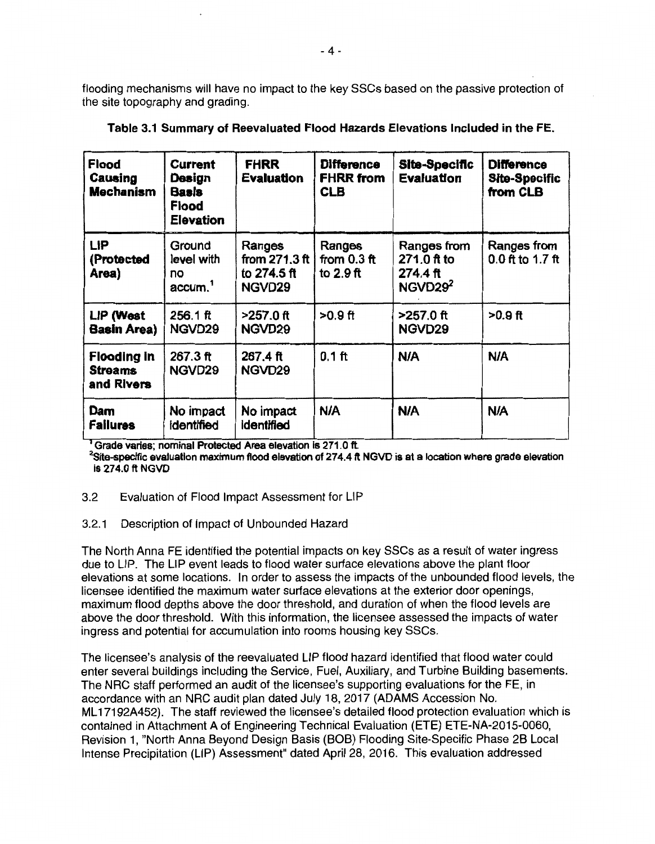flooding mechanisms will have no impact to the key SSCs based on the passive protection of the site topography and grading.

| <b>Flood</b><br>Causing<br><b>Mechanism</b>        | <b>Current</b><br>Design<br><b>Basis</b><br><b>Flood</b><br><b>Elevation</b> | <b>FHRR</b><br><b>Evaluation</b>                   | <b>Difference</b><br><b>FHRR</b> from<br><b>CLB</b> | Site-Specific<br><b>Evaluation</b>                            | <b>Difference</b><br><b>Site-Specific</b><br>from CLB |
|----------------------------------------------------|------------------------------------------------------------------------------|----------------------------------------------------|-----------------------------------------------------|---------------------------------------------------------------|-------------------------------------------------------|
| <b>LIP</b><br>(Protected<br>Area)                  | Ground<br>level with<br>no<br>accum. <sup>1</sup>                            | Ranges<br>from $271.3$ ft<br>to 274.5 ft<br>NGVD29 | Ranges<br>from $0.3$ ft<br>to $2.9$ ft              | Ranges from<br>271.0 ft to<br>274.4 ft<br>NGVD29 <sup>2</sup> | Ranges from<br>$0.0$ ft to 1.7 ft                     |
| LIP (West<br><b>Basin Area)</b>                    | $256.1$ ft<br>NGVD29                                                         | $>257.0$ ft<br>NGVD29                              | $>0.9$ ft                                           | >257.0 ft<br>NGVD29                                           | $>0.9$ ft                                             |
| <b>Flooding in</b><br><b>Streams</b><br>and Rivers | 267.3 ft<br>NGVD <sub>29</sub>                                               | 267.4 ft<br>NGVD29                                 | $0.1$ ft                                            | <b>N/A</b>                                                    | <b>N/A</b>                                            |
| Dam<br><b>Failures</b>                             | No impact<br>identified                                                      | No impact<br>identified                            | <b>N/A</b>                                          | N/A                                                           | <b>N/A</b>                                            |

|  |  | Table 3.1 Summary of Reevaluated Flood Hazards Elevations Included in the FE. |  |  |  |
|--|--|-------------------------------------------------------------------------------|--|--|--|
|--|--|-------------------------------------------------------------------------------|--|--|--|

<sup>1</sup> Grade varies; nominal Protected Area elevation is 271.0 ft.

**2 Site-specffic evaJuallon maximum flood elevation of 27 4.4 ft NGVO is at a location where grade elevation Is 274.0 ft NGVO** 

## 3.2 Evaluation of Flood Impact Assessment for LIP

# 3.2.1 Description of Impact of Unbounded Hazard

The North Anna FE identified the potential impacts on key SSCs as a result of water ingress due to LIP. The LIP event leads to flood water surface elevations above the plant floor elevations at some locations. In order to assess the impacts of the unbounded flood levels, the licensee identified the maximum water surface elevations at the exterior door openings, maximum flood depths above the door threshold, and duration of when the flood levels are above the door threshold. With this information, the licensee assessed the impacts of water ingress and potential for accumulation into rooms housing key SSCs.

The licensee's analysis of the reevaluated LIP flood hazard identified that flood water could enter several buildings including the Service, Fuel, Auxiliary, and Turbine Building basements. The NRC staff performed an audit of the licensee's supporting evaluations for the FE, in accordance with an NRC audit plan dated July 18, 2017 (ADAMS Accession No. ML 17192A452). The staff reviewed the licensee's detailed flood protection evaluation which is contained in Attachment A of Engineering Technical Evaluation (ETE) ETE-NA-2015-0060, Revision 1, "North Anna Beyond Design Basis (BOB) Flooding Site-Specific Phase 28 Local Intense Precipitation (LIP) Assessment" dated April 28, 2016. This evaluation addressed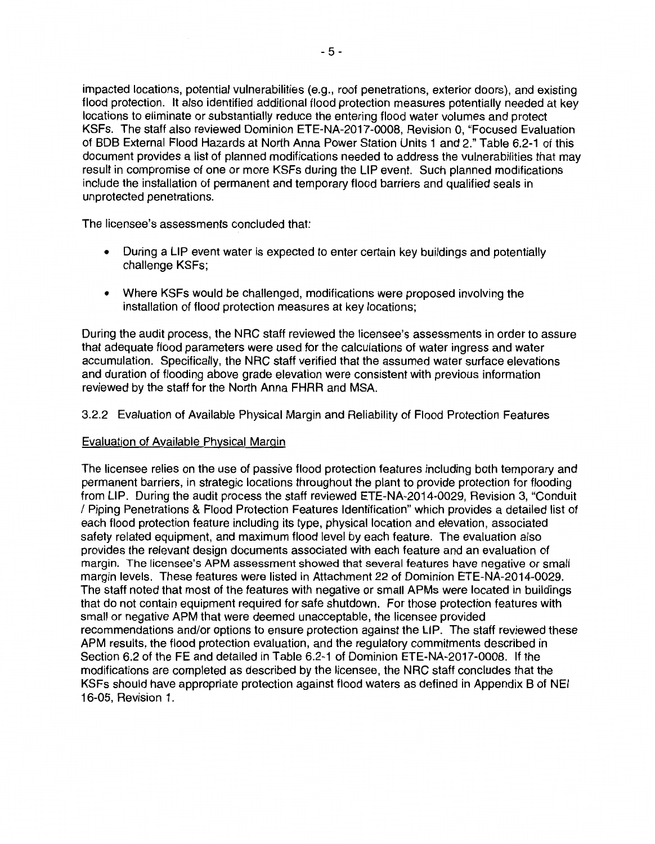impacted locations, potential vulnerabilities (e.g., roof penetrations, exterior doors), and existing flood protection. It also identified additional flood protection measures potentially needed at key locations to eliminate or substantially reduce the entering flood water volumes and protect KSFs. The staff also reviewed Dominion ETE-NA-2017-0008, Revision 0, "Focused Evaluation of BOB External Flood Hazards at North Anna Power Station Units 1 and 2." Table 6.2-1 of this document provides a list of planned modifications needed to address the vulnerabilities that may result in compromise of one or more KSFs during the LIP event. Such planned modifications include the installation of permanent and temporary flood barriers and qualified seals in unprotected penetrations.

The licensee's assessments concluded that:

- During a LIP event water is expected to enter certain key buildings and potentially challenge KSFs;
- Where KSFs would be challenged, modifications were proposed involving the installation of flood protection measures at key locations;

During the audit process, the NRC staff reviewed the licensee's assessments in order to assure that adequate flood parameters were used for the calculations of water ingress and water accumulation. Specifically, the NRC staff verified that the assumed water surface elevations and duration of flooding above grade elevation were consistent with previous information reviewed by the staff for the North Anna FHRR and **MSA.** 

3.2.2 Evaluation of Available Physical Margin and Reliability of Flood Protection Features

## Evaluation of Available Physical Margin

The licensee relies on the use of passive flood protection features including both temporary and permanent barriers, in strategic locations throughout the plant to provide protection for flooding from LIP. During the audit process the staff reviewed ETE-NA-2014-0029, Revision 3, "Conduit / Piping Penetrations & Flood Protection Features Identification" which provides a detailed list of each flood protection feature including its type, physical location and elevation, associated safety related equipment, and maximum flood level by each feature. The evaluation also provides the relevant design documents associated with each feature and an evaluation of margin. The licensee's **APM** assessment showed that several features have negative or small margin levels. These features were listed in Attachment 22 of Dominion ETE-NA-2014-0029. The staff noted that most of the features with negative or small APMs were located in buildings that do not contain equipment required for safe shutdown. For those protection features with small or negative APM that were deemed unacceptable, the licensee provided recommendations and/or options to ensure protection against the LIP. The staff reviewed these APM results, the flood protection evaluation, and the regulatory commitments described in Section 6.2 of the FE and detailed in Table 6.2-1 of Dominion ETE-NA-2017-0008. If the modifications are completed as described by the licensee, the NRC staff concludes that the KSFs should have appropriate protection against flood waters as defined in Appendix B of NEI 16-05, Revision 1.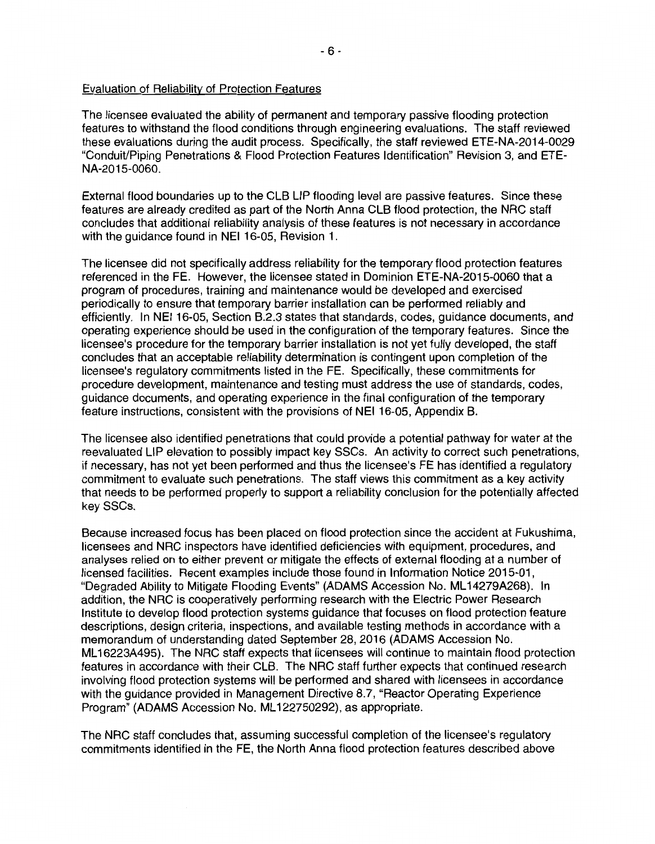## Evaluation of Reliability of Protection Features

The licensee evaluated the ability of permanent and temporary passive flooding protection features to withstand the flood conditions through engineering evaluations. The staff reviewed these evaluations during the audit process. Specifically, the staff reviewed ETE-NA-2014-0029 "Conduit/Piping Penetrations & Flood Protection Features Identification" Revision 3, and ETE-NA-2015-0060.

External flood boundaries up to the CLB LIP flooding level are passive features. Since these features are already credited as part of the North Anna CLB flood protection, the NRC staff concludes that additional reliability analysis of these features is not necessary in accordance with the quidance found in NEI 16-05. Revision 1.

The licensee did not specifically address reliability for the temporary flood protection features referenced in the FE. However, the licensee stated in Dominion ETE-NA-2015-0060 that a program of procedures, training and maintenance would be developed and exercised periodically to ensure that temporary barrier installation can be performed reliably and efficiently. In NEI 16-05, Section B.2.3 states that standards, codes, guidance documents, and operating experience should be used in the configuration of the temporary features. Since the licensee's procedure for the temporary barrier installation is not yet fully developed, the staff concludes that an acceptable reliability determination is contingent upon completion of the licensee's regulatory commitments listed in the FE. Specifically, these commitments for procedure development, maintenance and testing must address the use of standards, codes, guidance documents, and operating experience in the final configuration of the temporary feature instructions, consistent with the provisions of NEI 16-05, Appendix B.

The licensee also identified penetrations that could provide a potential pathway for water at the reevaluated LIP elevation to possibly impact key SSCs. An activity to correct such penetrations, if necessary, has not yet been performed and thus the licensee's FE has identified a regulatory commitment to evaluate such penetrations. The staff views this commitment as a key activity that needs to be performed properly to support a reliability conclusion for the potentially affected key SSCs.

Because increased focus has been placed on flood protection since the accident at Fukushima, licensees and NRC inspectors have identified deficiencies with equipment, procedures, and analyses relied on to either prevent or mitigate the effects of external flooding at a number of licensed facilities. Recent examples include those found in Information Notice 2015-01, "Degraded Ability to Mitigate Flooding Events" (ADAMS Accession No. ML 14279A268). In addition, the NRC is cooperatively performing research with the Electric Power Research Institute to develop flood protection systems guidance that focuses on flood protection feature descriptions, design criteria, inspections, and available testing methods in accordance with a memorandum of understanding dated September 28, 2016 (ADAMS Accession No. ML 16223A495). The NRC staff expects that licensees will continue to maintain flood protection features in accordance with their CLB. The NRC staff further expects that continued research involving flood protection systems will be performed and shared with licensees in accordance with the guidance provided in Management Directive 8.7, "Reactor Operating Experience Program" (ADAMS Accession No. ML 122750292), as appropriate.

The NRC staff concludes that, assuming successful completion of the licensee's regulatory commitments identified in the FE, the North Anna flood protection features described above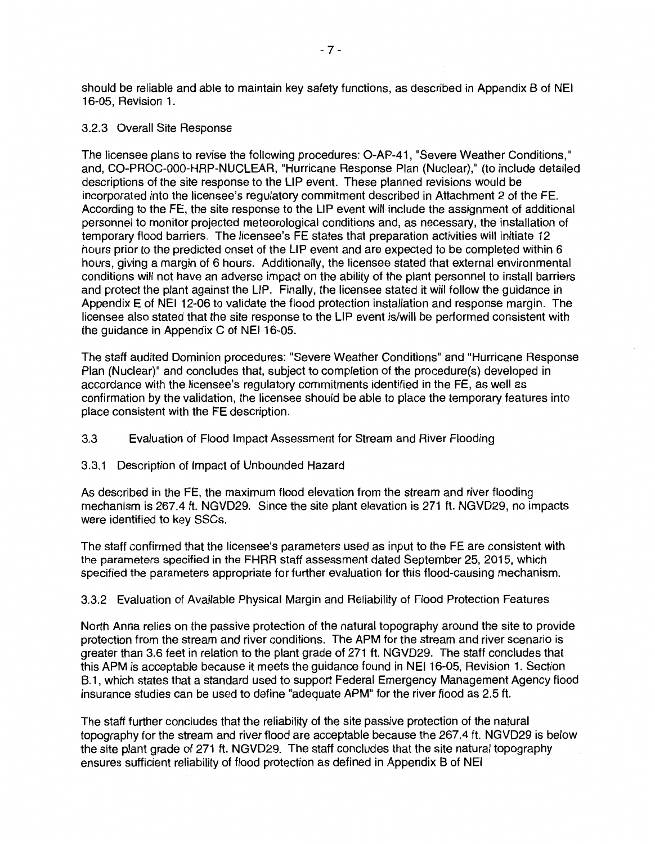should be reliable and able to maintain key safety functions, as described in Appendix B of NEI 16-05, Revision 1.

#### 3.2.3 Overall Site Response

The licensee plans to revise the following procedures: O-AP-41, "Severe Weather Conditions," and, CO-PROC-000-HRP-NUCLEAR, "Hurricane Response Plan (Nuclear)," (to include detailed descriptions of the site response to the LIP event. These planned revisions would be incorporated into the licensee's regulatory commitment described in Attachment 2 of the FE. According to the FE, the site response to the LIP event will include the assignment of additional personnel to monitor projected meteorological conditions and, as necessary, the installation of temporary flood barriers. The licensee's FE states that preparation activities will initiate 12 hours prior to the predicted onset of the LIP event and are expected to be completed within 6 hours, giving a margin of 6 hours. Additionally, the licensee stated that external environmental conditions will not have an adverse impact on the ability of the plant personnel to install barriers and protect the plant against the LIP. Finally, the licensee stated it will follow the guidance in Appendix E of NEI 12-06 to validate the flood protection installation and response margin. The licensee also stated that the site response to the LIP event is/will be performed consistent with the guidance in Appendix C of NEI 16-05.

The staff audited Dominion procedures: "Severe Weather Conditions" and "Hurricane Response Plan (Nuclear)" and concludes that, subject to completion of the procedure(s) developed in accordance with the licensee's regulatory commitments identified in the FE, as well as confirmation by the validation, the licensee should be able to place the temporary features into place consistent with the FE description.

- 3.3 Evaluation of Flood Impact Assessment for Stream and River Flooding
- 3.3.1 Description of Impact of Unbounded Hazard

As described in the FE, the maximum flood elevation from the stream and river flooding mechanism is 267.4 ft. NGVD29. Since the site plant elevation is 271 ft. NGVD29, no impacts were identified to key SSCs.

The staff confirmed that the licensee's parameters used as input to the FE are consistent with the parameters specified in the FHRR staff assessment dated September 25, 2015, which specified the parameters appropriate for further evaluation for this flood-causing mechanism.

## 3.3.2 Evaluation of Available Physical Margin and Reliability of Flood Protection Features

North Anna relies on the passive protection of the natural topography around the site to provide protection from the stream and river conditions. The APM for the stream and river scenario is greater than 3.6 feet in relation to the plant grade of 271 ft. NGVD29. The staff concludes that this APM is acceptable because it meets the guidance found in NEI 16-05, Revision 1. Section B.1, which states that a standard used to support Federal Emergency Management Agency flood insurance studies can be used to define "adequate APM" for the river flood as 2.5 ft.

The staff further concludes that the reliability of the site passive protection of the natural topography for the stream and river flood are acceptable because the 267.4 ft. NGVD29 is below the site plant grade of 271 ft. NGVD29. The staff concludes that the site natural topography ensures sufficient reliability of flood protection as defined in Appendix B of NEI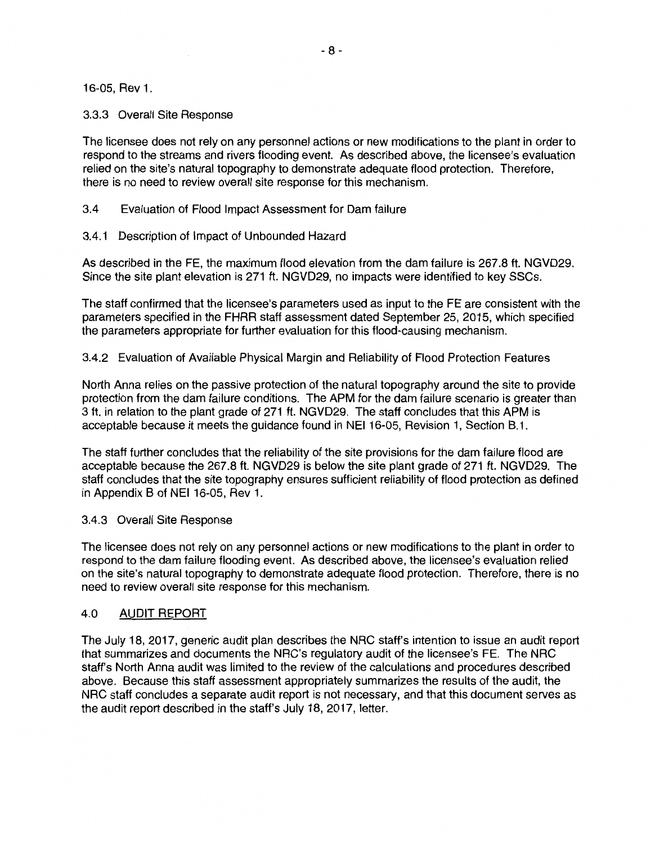16-05, Rev 1.

#### 3.3.3 Overall Site Response

The licensee does not rely on any personnel actions or new modifications to the plant in order to respond to the streams and rivers flooding event. As described above, the licensee's evaluation relied on the site's natural topography to demonstrate adequate flood protection. Therefore, there is no need to review overall site response for this mechanism.

3.4 Evaluation of Flood Impact Assessment for Dam failure

3.4.1 Description of Impact of Unbounded Hazard

As described in the FE, the maximum flood elevation from the dam failure is 267.8 ft. NGVD29. Since the site plant elevation is 271 ft. NGVD29, no impacts were identified to key SSGs.

The staff confirmed that the licensee's parameters used as input to the FE are consistent with the parameters specified in the FHRR staff assessment dated September 25, 2015, which specified the parameters appropriate for further evaluation for this flood-causing mechanism.

3.4.2 Evaluation of Available Physical Margin and Reliability of Flood Protection Features

North Anna relies on the passive protection of the natural topography around the site to provide protection from the dam failure conditions. The APM for the dam failure scenario is greater than 3 ft. in relation to the plant grade of 271 ft. NGVD29. The staff concludes that this APM is acceptable because it meets the guidance found in NEI 16-05, Revision 1, Section B.1.

The staff further concludes that the reliability of the site provisions for the dam failure flood are acceptable because the 267.8 ft. NGVD29 is below the site plant grade of 271 ft. NGVD29. The staff concludes that the site topography ensures sufficient reliability of flood protection as defined in Appendix B of NEI 16-05, Rev 1.

#### 3.4.3 Overall Site Response

The licensee does not rely on any personnel actions or new modifications to the plant in order to respond to the dam failure flooding event. As described above, the licensee's evaluation relied on the site's natural topography to demonstrate adequate flood protection. Therefore, there is no need to review overall site response for this mechanism.

## 4.0 AUDIT REPORT

The July 18, 2017, generic audit plan describes the NRG staff's intention to issue an audit report that summarizes and documents the NRG's regulatory audit of the licensee's FE. The NRG staff's North Anna audit was limited to the review of the calculations and procedures described above. Because this staff assessment appropriately summarizes the results of the audit, the NRG staff concludes a separate audit report is not necessary, and that this document serves as the audit report described in the staff's July 18, 2017, letter.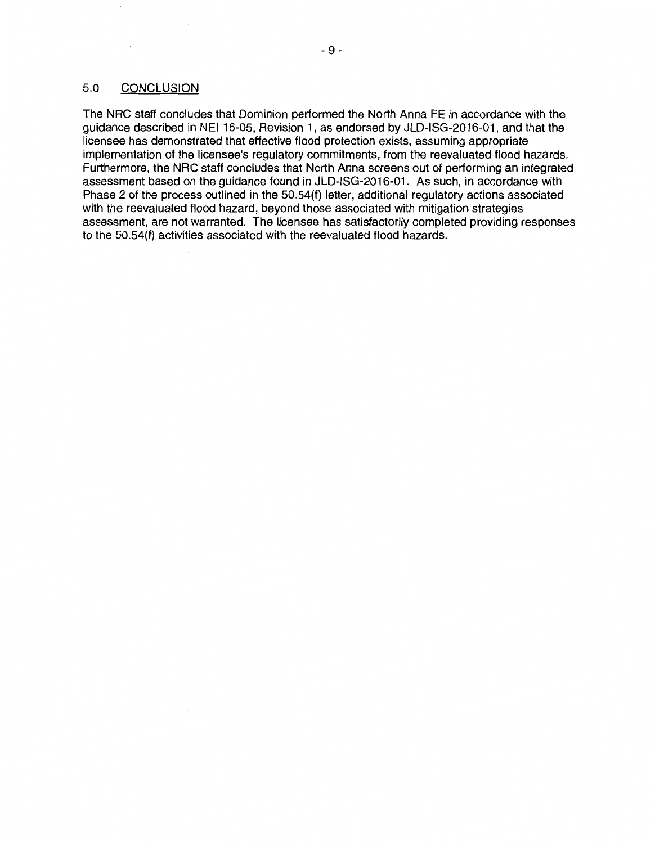## 5.0 CONCLUSION

The NRG staff concludes that Dominion performed the North Anna FE in accordance with the guidance described in NEI 16-05, Revision 1, as endorsed by JLD-ISG-2016-01, and that the licensee has demonstrated that effective flood protection exists, assuming appropriate implementation of the licensee's regulatory commitments, from the reevaluated flood hazards. Furthermore, the NRG staff concludes that North Anna screens out of performing an integrated assessment based on the guidance found in JLD-ISG-2016-01. As such, in accordance with Phase 2 of the process outlined in the 50.54(f) letter, additional regulatory actions associated with the reevaluated flood hazard, beyond those associated with mitigation strategies assessment, are not warranted. The licensee has satisfactorily completed providing responses to the 50.54(f) activities associated with the reevaluated flood hazards.